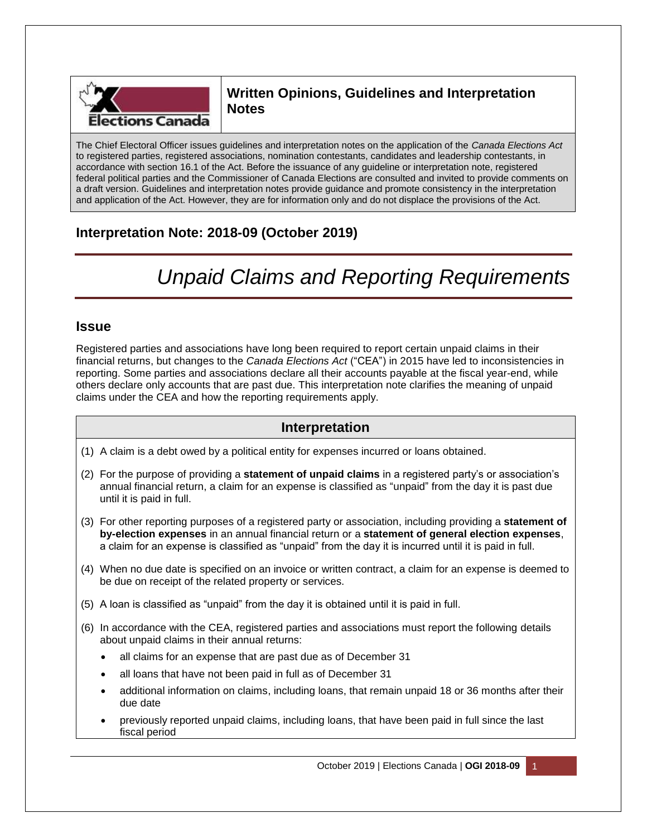

# **Written Opinions, Guidelines and Interpretation Notes**

The Chief Electoral Officer issues guidelines and interpretation notes on the application of the *Canada Elections Act* to registered parties, registered associations, nomination contestants, candidates and leadership contestants, in accordance with section 16.1 of the Act. Before the issuance of any guideline or interpretation note, registered federal political parties and the Commissioner of Canada Elections are consulted and invited to provide comments on a draft version. Guidelines and interpretation notes provide guidance and promote consistency in the interpretation and application of the Act. However, they are for information only and do not displace the provisions of the Act.

# **Interpretation Note: 2018-09 (October 2019)**

# *Unpaid Claims and Reporting Requirements*

### **Issue**

Registered parties and associations have long been required to report certain unpaid claims in their financial returns, but changes to the *Canada Elections Act* ("CEA") in 2015 have led to inconsistencies in reporting. Some parties and associations declare all their accounts payable at the fiscal year-end, while others declare only accounts that are past due. This interpretation note clarifies the meaning of unpaid claims under the CEA and how the reporting requirements apply.

## **Interpretation**

- (1) A claim is a debt owed by a political entity for expenses incurred or loans obtained.
- (2) For the purpose of providing a **statement of unpaid claims** in a registered party's or association's annual financial return, a claim for an expense is classified as "unpaid" from the day it is past due until it is paid in full.
- (3) For other reporting purposes of a registered party or association, including providing a **statement of by-election expenses** in an annual financial return or a **statement of general election expenses**, a claim for an expense is classified as "unpaid" from the day it is incurred until it is paid in full.
- (4) When no due date is specified on an invoice or written contract, a claim for an expense is deemed to be due on receipt of the related property or services.
- (5) A loan is classified as "unpaid" from the day it is obtained until it is paid in full.
- (6) In accordance with the CEA, registered parties and associations must report the following details about unpaid claims in their annual returns:
	- all claims for an expense that are past due as of December 31
	- all loans that have not been paid in full as of December 31
	- additional information on claims, including loans, that remain unpaid 18 or 36 months after their due date
	- previously reported unpaid claims, including loans, that have been paid in full since the last fiscal period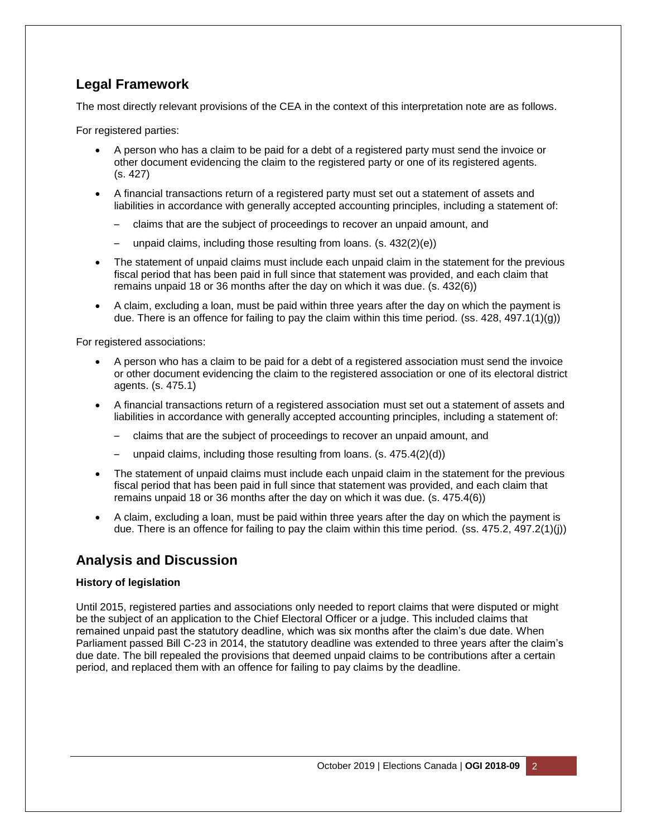## **Legal Framework**

The most directly relevant provisions of the CEA in the context of this interpretation note are as follows.

For registered parties:

- A person who has a claim to be paid for a debt of a registered party must send the invoice or other document evidencing the claim to the registered party or one of its registered agents. (s. 427)
- A financial transactions return of a registered party must set out a statement of assets and liabilities in accordance with generally accepted accounting principles, including a statement of:
	- claims that are the subject of proceedings to recover an unpaid amount, and
	- unpaid claims, including those resulting from loans. (s. 432(2)(e))
- The statement of unpaid claims must include each unpaid claim in the statement for the previous fiscal period that has been paid in full since that statement was provided, and each claim that remains unpaid 18 or 36 months after the day on which it was due. (s. 432(6))
- A claim, excluding a loan, must be paid within three years after the day on which the payment is due. There is an offence for failing to pay the claim within this time period. (ss. 428, 497.1(1)(g))

For registered associations:

- A person who has a claim to be paid for a debt of a registered association must send the invoice or other document evidencing the claim to the registered association or one of its electoral district agents. (s. 475.1)
- A financial transactions return of a registered association must set out a statement of assets and liabilities in accordance with generally accepted accounting principles, including a statement of:
	- claims that are the subject of proceedings to recover an unpaid amount, and
	- unpaid claims, including those resulting from loans.  $(s. 475.4(2)(d))$
- The statement of unpaid claims must include each unpaid claim in the statement for the previous fiscal period that has been paid in full since that statement was provided, and each claim that remains unpaid 18 or 36 months after the day on which it was due. (s. 475.4(6))
- A claim, excluding a loan, must be paid within three years after the day on which the payment is due. There is an offence for failing to pay the claim within this time period. (ss. 475.2, 497.2(1)(j))

## **Analysis and Discussion**

#### **History of legislation**

Until 2015, registered parties and associations only needed to report claims that were disputed or might be the subject of an application to the Chief Electoral Officer or a judge. This included claims that remained unpaid past the statutory deadline, which was six months after the claim's due date. When Parliament passed Bill C-23 in 2014, the statutory deadline was extended to three years after the claim's due date. The bill repealed the provisions that deemed unpaid claims to be contributions after a certain period, and replaced them with an offence for failing to pay claims by the deadline.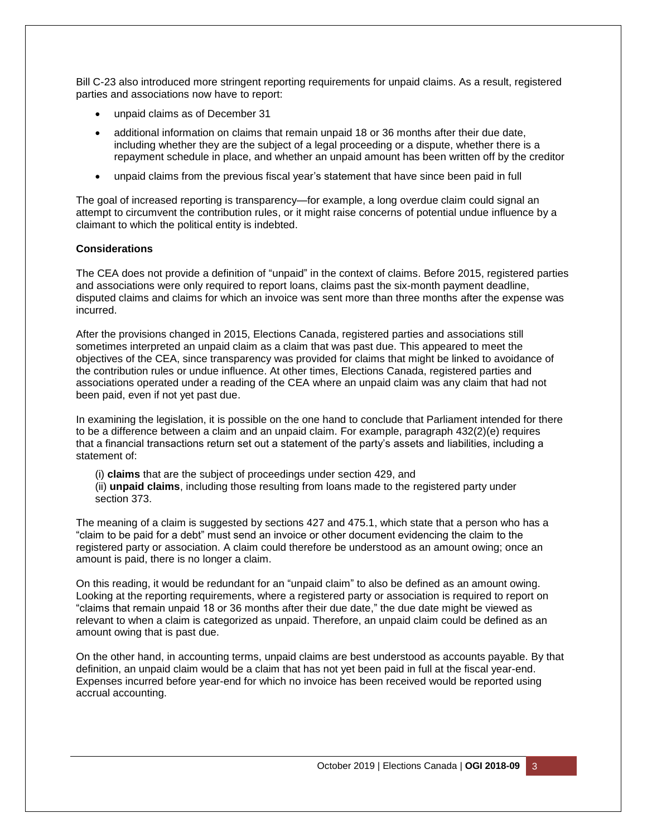Bill C-23 also introduced more stringent reporting requirements for unpaid claims. As a result, registered parties and associations now have to report:

- unpaid claims as of December 31
- additional information on claims that remain unpaid 18 or 36 months after their due date, including whether they are the subject of a legal proceeding or a dispute, whether there is a repayment schedule in place, and whether an unpaid amount has been written off by the creditor
- unpaid claims from the previous fiscal year's statement that have since been paid in full

The goal of increased reporting is transparency—for example, a long overdue claim could signal an attempt to circumvent the contribution rules, or it might raise concerns of potential undue influence by a claimant to which the political entity is indebted.

#### **Considerations**

The CEA does not provide a definition of "unpaid" in the context of claims. Before 2015, registered parties and associations were only required to report loans, claims past the six-month payment deadline, disputed claims and claims for which an invoice was sent more than three months after the expense was incurred.

After the provisions changed in 2015, Elections Canada, registered parties and associations still sometimes interpreted an unpaid claim as a claim that was past due. This appeared to meet the objectives of the CEA, since transparency was provided for claims that might be linked to avoidance of the contribution rules or undue influence. At other times, Elections Canada, registered parties and associations operated under a reading of the CEA where an unpaid claim was any claim that had not been paid, even if not yet past due.

In examining the legislation, it is possible on the one hand to conclude that Parliament intended for there to be a difference between a claim and an unpaid claim. For example, paragraph 432(2)(e) requires that a financial transactions return set out a statement of the party's assets and liabilities, including a statement of:

(i) **claims** that are the subject of proceedings under section 429, and (ii) **unpaid claims**, including those resulting from loans made to the registered party under section 373.

The meaning of a claim is suggested by sections 427 and 475.1, which state that a person who has a "claim to be paid for a debt" must send an invoice or other document evidencing the claim to the registered party or association. A claim could therefore be understood as an amount owing; once an amount is paid, there is no longer a claim.

On this reading, it would be redundant for an "unpaid claim" to also be defined as an amount owing. Looking at the reporting requirements, where a registered party or association is required to report on "claims that remain unpaid 18 or 36 months after their due date," the due date might be viewed as relevant to when a claim is categorized as unpaid. Therefore, an unpaid claim could be defined as an amount owing that is past due.

On the other hand, in accounting terms, unpaid claims are best understood as accounts payable. By that definition, an unpaid claim would be a claim that has not yet been paid in full at the fiscal year-end. Expenses incurred before year-end for which no invoice has been received would be reported using accrual accounting.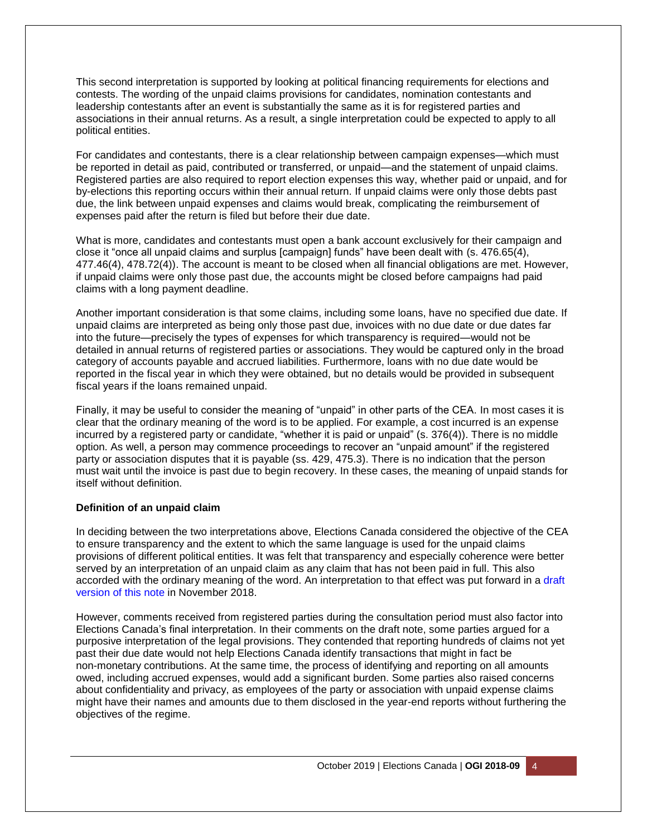This second interpretation is supported by looking at political financing requirements for elections and contests. The wording of the unpaid claims provisions for candidates, nomination contestants and leadership contestants after an event is substantially the same as it is for registered parties and associations in their annual returns. As a result, a single interpretation could be expected to apply to all political entities.

For candidates and contestants, there is a clear relationship between campaign expenses—which must be reported in detail as paid, contributed or transferred, or unpaid—and the statement of unpaid claims. Registered parties are also required to report election expenses this way, whether paid or unpaid, and for by-elections this reporting occurs within their annual return. If unpaid claims were only those debts past due, the link between unpaid expenses and claims would break, complicating the reimbursement of expenses paid after the return is filed but before their due date.

What is more, candidates and contestants must open a bank account exclusively for their campaign and close it "once all unpaid claims and surplus [campaign] funds" have been dealt with (s. 476.65(4), 477.46(4), 478.72(4)). The account is meant to be closed when all financial obligations are met. However, if unpaid claims were only those past due, the accounts might be closed before campaigns had paid claims with a long payment deadline.

Another important consideration is that some claims, including some loans, have no specified due date. If unpaid claims are interpreted as being only those past due, invoices with no due date or due dates far into the future—precisely the types of expenses for which transparency is required—would not be detailed in annual returns of registered parties or associations. They would be captured only in the broad category of accounts payable and accrued liabilities. Furthermore, loans with no due date would be reported in the fiscal year in which they were obtained, but no details would be provided in subsequent fiscal years if the loans remained unpaid.

Finally, it may be useful to consider the meaning of "unpaid" in other parts of the CEA. In most cases it is clear that the ordinary meaning of the word is to be applied. For example, a cost incurred is an expense incurred by a registered party or candidate, "whether it is paid or unpaid" (s. 376(4)). There is no middle option. As well, a person may commence proceedings to recover an "unpaid amount" if the registered party or association disputes that it is payable (ss. 429, 475.3). There is no indication that the person must wait until the invoice is past due to begin recovery. In these cases, the meaning of unpaid stands for itself without definition.

#### **Definition of an unpaid claim**

In deciding between the two interpretations above, Elections Canada considered the objective of the CEA to ensure transparency and the extent to which the same language is used for the unpaid claims provisions of different political entities. It was felt that transparency and especially coherence were better served by an interpretation of an unpaid claim as any claim that has not been paid in full. This also accorded with the ordinary meaning of the word. An interpretation to that effect was put forward in a [draft](https://www.elections.ca/content.aspx?section=res&dir=gui/app/2018-09/d&document=index&lang=e)  [version of this note](https://www.elections.ca/content.aspx?section=res&dir=gui/app/2018-09/d&document=index&lang=e) in November 2018.

However, comments received from registered parties during the consultation period must also factor into Elections Canada's final interpretation. In their comments on the draft note, some parties argued for a purposive interpretation of the legal provisions. They contended that reporting hundreds of claims not yet past their due date would not help Elections Canada identify transactions that might in fact be non-monetary contributions. At the same time, the process of identifying and reporting on all amounts owed, including accrued expenses, would add a significant burden. Some parties also raised concerns about confidentiality and privacy, as employees of the party or association with unpaid expense claims might have their names and amounts due to them disclosed in the year-end reports without furthering the objectives of the regime.